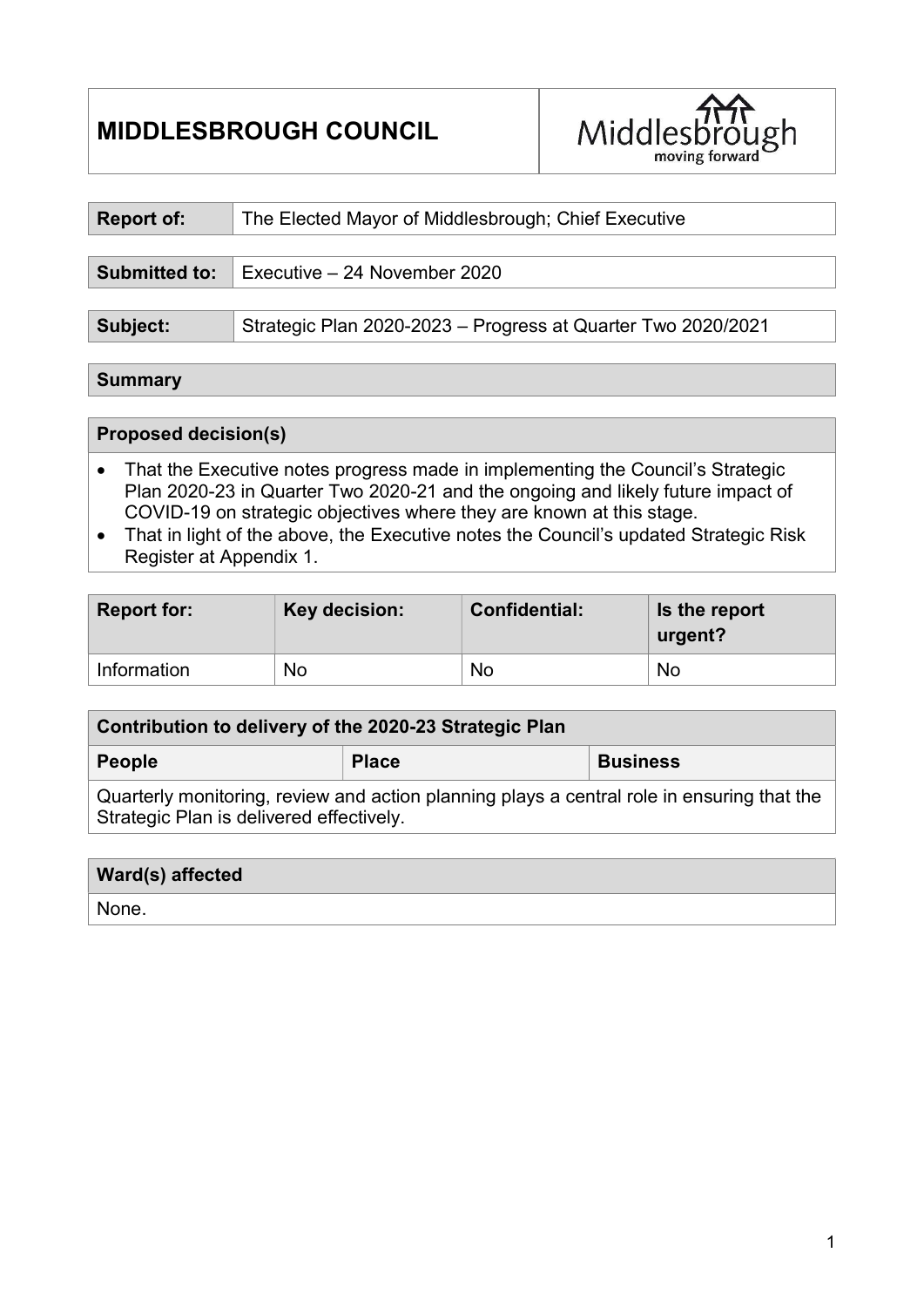# MIDDLESBROUGH COUNCIL



| Report of:    | The Elected Mayor of Middlesbrough; Chief Executive          |  |  |
|---------------|--------------------------------------------------------------|--|--|
|               |                                                              |  |  |
| Submitted to: | Executive $-24$ November 2020                                |  |  |
|               |                                                              |  |  |
| Subject:      | Strategic Plan 2020-2023 - Progress at Quarter Two 2020/2021 |  |  |

#### **Summary**

#### Proposed decision(s)

- That the Executive notes progress made in implementing the Council's Strategic Plan 2020-23 in Quarter Two 2020-21 and the ongoing and likely future impact of COVID-19 on strategic objectives where they are known at this stage.
- That in light of the above, the Executive notes the Council's updated Strategic Risk Register at Appendix 1.

| <b>Report for:</b> | Key decision: | <b>Confidential:</b> | Is the report<br>urgent? |
|--------------------|---------------|----------------------|--------------------------|
| Information        | No            | No                   | No                       |

| Contribution to delivery of the 2020-23 Strategic Plan                                                                                 |              |                 |  |
|----------------------------------------------------------------------------------------------------------------------------------------|--------------|-----------------|--|
| <b>People</b>                                                                                                                          | <b>Place</b> | <b>Business</b> |  |
| Quarterly monitoring, review and action planning plays a central role in ensuring that the<br>Strategic Plan is delivered effectively. |              |                 |  |

#### Ward(s) affected

None.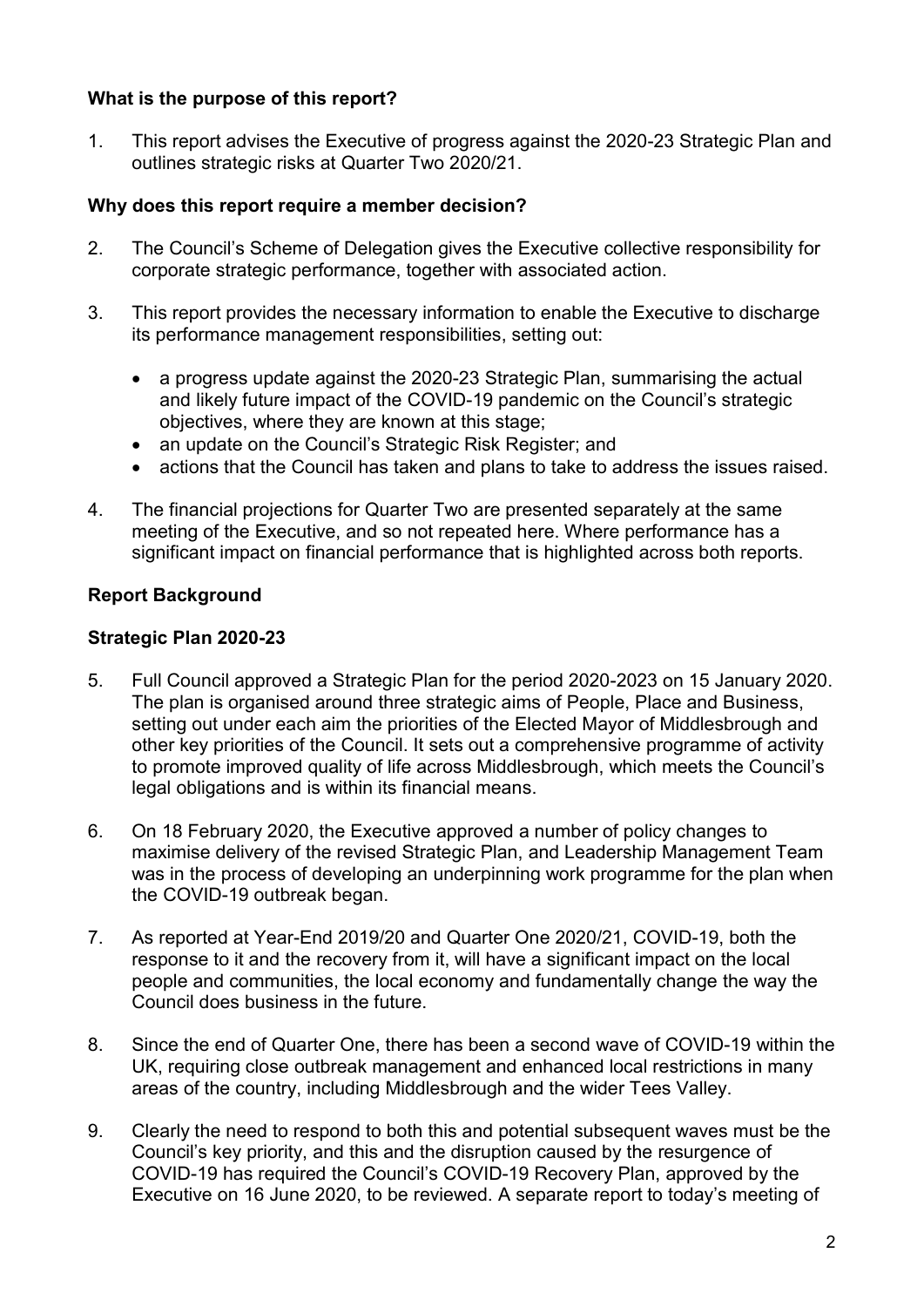# What is the purpose of this report?

1. This report advises the Executive of progress against the 2020-23 Strategic Plan and outlines strategic risks at Quarter Two 2020/21.

# Why does this report require a member decision?

- 2. The Council's Scheme of Delegation gives the Executive collective responsibility for corporate strategic performance, together with associated action.
- 3. This report provides the necessary information to enable the Executive to discharge its performance management responsibilities, setting out:
	- a progress update against the 2020-23 Strategic Plan, summarising the actual and likely future impact of the COVID-19 pandemic on the Council's strategic objectives, where they are known at this stage;
	- an update on the Council's Strategic Risk Register; and
	- actions that the Council has taken and plans to take to address the issues raised.
- 4. The financial projections for Quarter Two are presented separately at the same meeting of the Executive, and so not repeated here. Where performance has a significant impact on financial performance that is highlighted across both reports.

# Report Background

# Strategic Plan 2020-23

- 5. Full Council approved a Strategic Plan for the period 2020-2023 on 15 January 2020. The plan is organised around three strategic aims of People, Place and Business, setting out under each aim the priorities of the Elected Mayor of Middlesbrough and other key priorities of the Council. It sets out a comprehensive programme of activity to promote improved quality of life across Middlesbrough, which meets the Council's legal obligations and is within its financial means.
- 6. On 18 February 2020, the Executive approved a number of policy changes to maximise delivery of the revised Strategic Plan, and Leadership Management Team was in the process of developing an underpinning work programme for the plan when the COVID-19 outbreak began.
- 7. As reported at Year-End 2019/20 and Quarter One 2020/21, COVID-19, both the response to it and the recovery from it, will have a significant impact on the local people and communities, the local economy and fundamentally change the way the Council does business in the future.
- 8. Since the end of Quarter One, there has been a second wave of COVID-19 within the UK, requiring close outbreak management and enhanced local restrictions in many areas of the country, including Middlesbrough and the wider Tees Valley.
- 9. Clearly the need to respond to both this and potential subsequent waves must be the Council's key priority, and this and the disruption caused by the resurgence of COVID-19 has required the Council's COVID-19 Recovery Plan, approved by the Executive on 16 June 2020, to be reviewed. A separate report to today's meeting of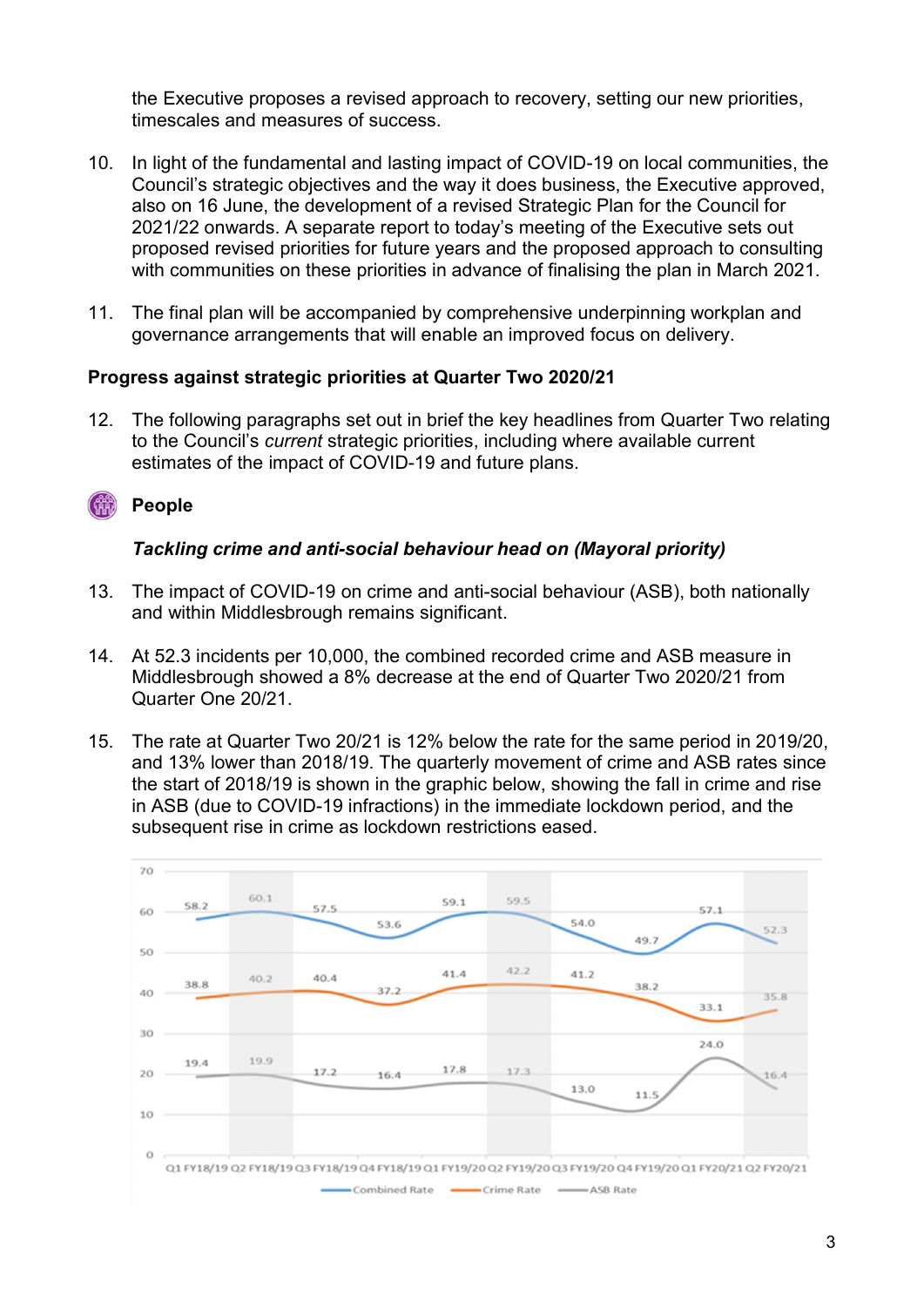the Executive proposes a revised approach to recovery, setting our new priorities, timescales and measures of success.

- 10. In light of the fundamental and lasting impact of COVID-19 on local communities, the Council's strategic objectives and the way it does business, the Executive approved, also on 16 June, the development of a revised Strategic Plan for the Council for 2021/22 onwards. A separate report to today's meeting of the Executive sets out proposed revised priorities for future years and the proposed approach to consulting with communities on these priorities in advance of finalising the plan in March 2021.
- 11. The final plan will be accompanied by comprehensive underpinning workplan and governance arrangements that will enable an improved focus on delivery.

# Progress against strategic priorities at Quarter Two 2020/21

12. The following paragraphs set out in brief the key headlines from Quarter Two relating to the Council's current strategic priorities, including where available current estimates of the impact of COVID-19 and future plans.

#### People  $\binom{1}{1}$

# Tackling crime and anti-social behaviour head on (Mayoral priority)

- 13. The impact of COVID-19 on crime and anti-social behaviour (ASB), both nationally and within Middlesbrough remains significant.
- 14. At 52.3 incidents per 10,000, the combined recorded crime and ASB measure in Middlesbrough showed a 8% decrease at the end of Quarter Two 2020/21 from Quarter One 20/21.
- 15. The rate at Quarter Two 20/21 is 12% below the rate for the same period in 2019/20, and 13% lower than 2018/19. The quarterly movement of crime and ASB rates since the start of 2018/19 is shown in the graphic below, showing the fall in crime and rise in ASB (due to COVID-19 infractions) in the immediate lockdown period, and the subsequent rise in crime as lockdown restrictions eased.

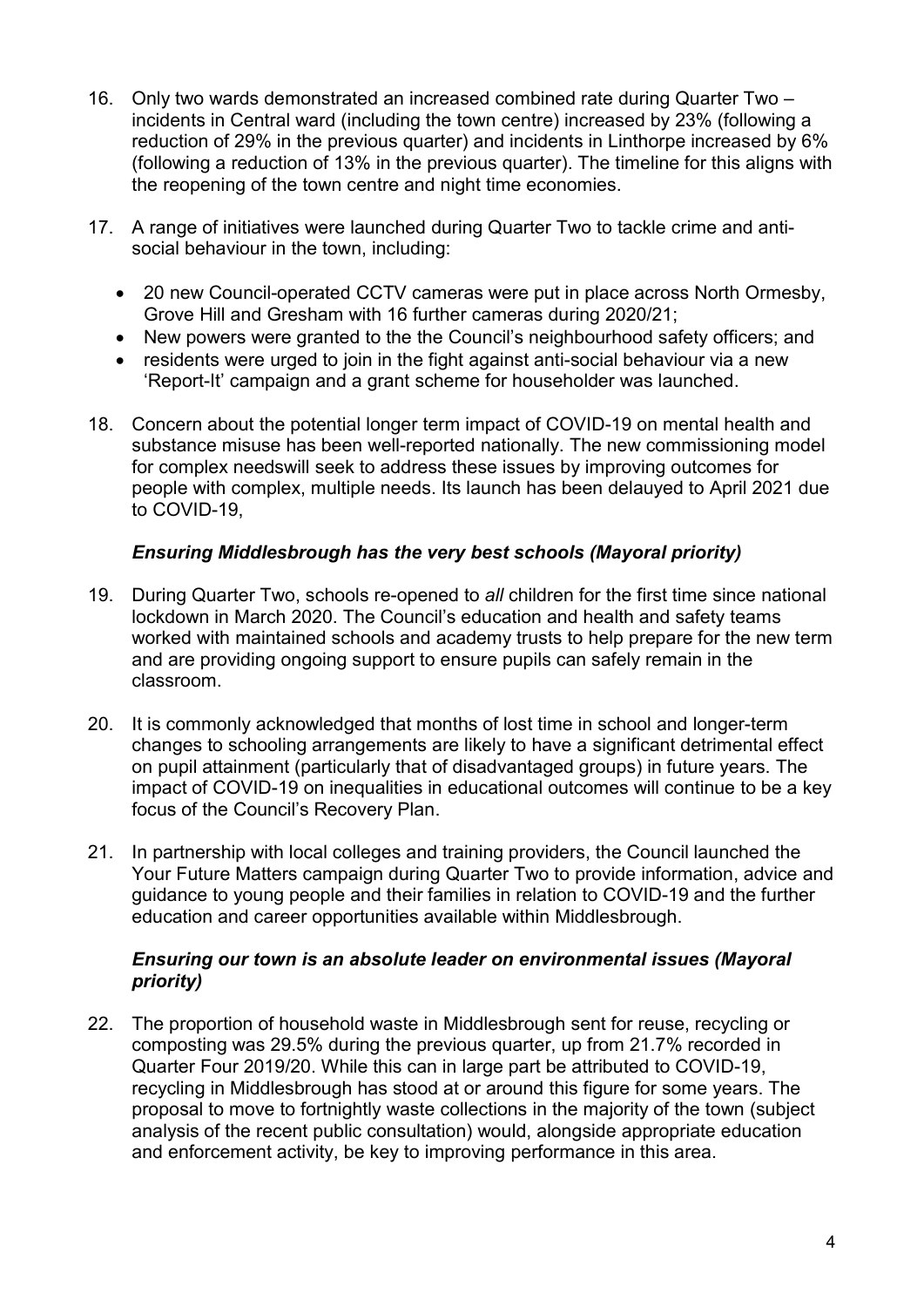- 16. Only two wards demonstrated an increased combined rate during Quarter Two incidents in Central ward (including the town centre) increased by 23% (following a reduction of 29% in the previous quarter) and incidents in Linthorpe increased by 6% (following a reduction of 13% in the previous quarter). The timeline for this aligns with the reopening of the town centre and night time economies.
- 17. A range of initiatives were launched during Quarter Two to tackle crime and antisocial behaviour in the town, including:
	- 20 new Council-operated CCTV cameras were put in place across North Ormesby, Grove Hill and Gresham with 16 further cameras during 2020/21;
	- New powers were granted to the the Council's neighbourhood safety officers; and
	- residents were urged to join in the fight against anti-social behaviour via a new 'Report-It' campaign and a grant scheme for householder was launched.
- 18. Concern about the potential longer term impact of COVID-19 on mental health and substance misuse has been well-reported nationally. The new commissioning model for complex needswill seek to address these issues by improving outcomes for people with complex, multiple needs. Its launch has been delauyed to April 2021 due to COVID-19,

# Ensuring Middlesbrough has the very best schools (Mayoral priority)

- 19. During Quarter Two, schools re-opened to all children for the first time since national lockdown in March 2020. The Council's education and health and safety teams worked with maintained schools and academy trusts to help prepare for the new term and are providing ongoing support to ensure pupils can safely remain in the classroom.
- 20. It is commonly acknowledged that months of lost time in school and longer-term changes to schooling arrangements are likely to have a significant detrimental effect on pupil attainment (particularly that of disadvantaged groups) in future years. The impact of COVID-19 on inequalities in educational outcomes will continue to be a key focus of the Council's Recovery Plan.
- 21. In partnership with local colleges and training providers, the Council launched the Your Future Matters campaign during Quarter Two to provide information, advice and guidance to young people and their families in relation to COVID-19 and the further education and career opportunities available within Middlesbrough.

#### Ensuring our town is an absolute leader on environmental issues (Mayoral priority)

22. The proportion of household waste in Middlesbrough sent for reuse, recycling or composting was 29.5% during the previous quarter, up from 21.7% recorded in Quarter Four 2019/20. While this can in large part be attributed to COVID-19, recycling in Middlesbrough has stood at or around this figure for some years. The proposal to move to fortnightly waste collections in the majority of the town (subject analysis of the recent public consultation) would, alongside appropriate education and enforcement activity, be key to improving performance in this area.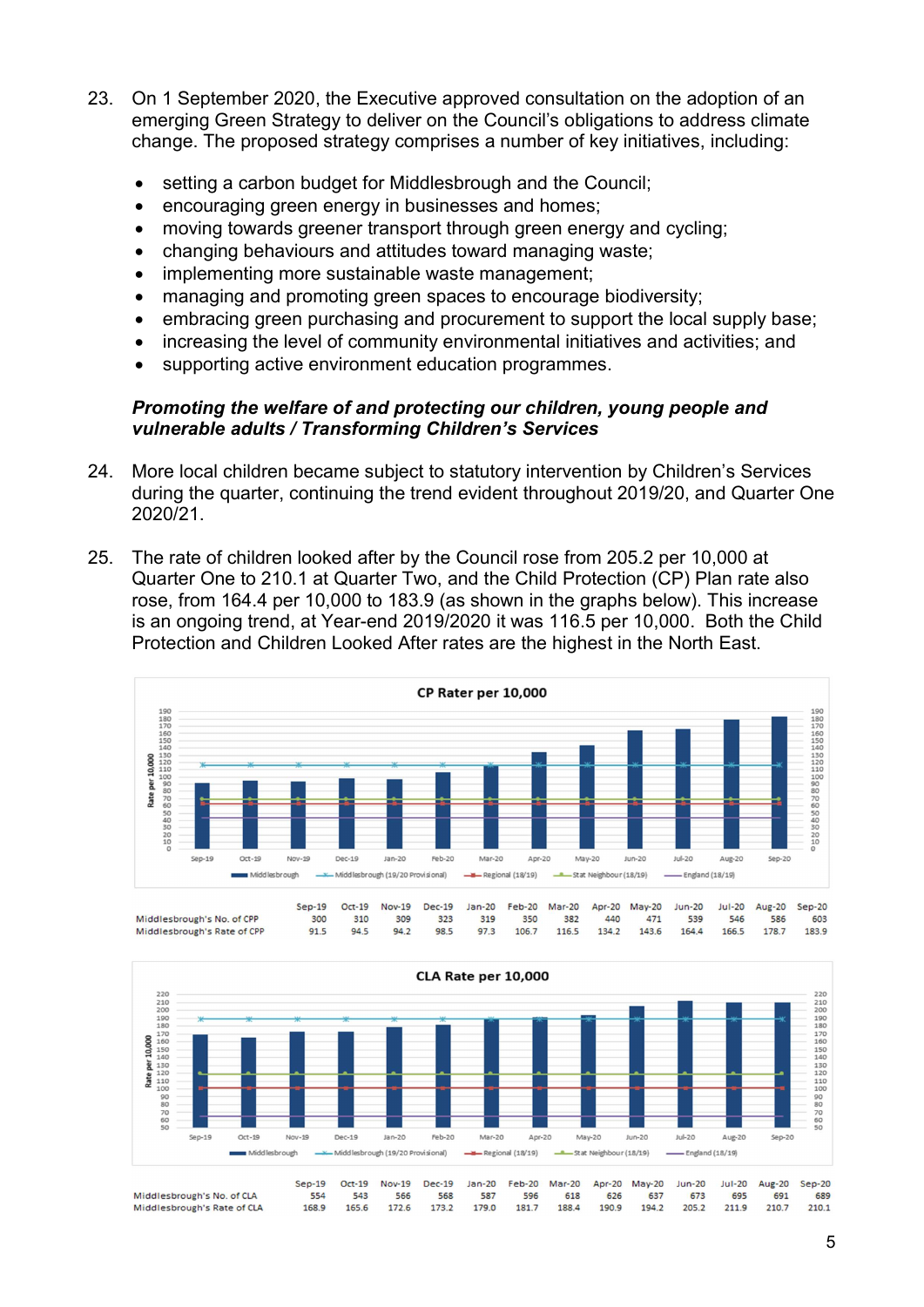- 23. On 1 September 2020, the Executive approved consultation on the adoption of an emerging Green Strategy to deliver on the Council's obligations to address climate change. The proposed strategy comprises a number of key initiatives, including:
	- setting a carbon budget for Middlesbrough and the Council;
	- encouraging green energy in businesses and homes;
	- moving towards greener transport through green energy and cycling;
	- changing behaviours and attitudes toward managing waste;
	- implementing more sustainable waste management;
	- managing and promoting green spaces to encourage biodiversity;
	- embracing green purchasing and procurement to support the local supply base;
	- increasing the level of community environmental initiatives and activities; and
	- supporting active environment education programmes.

#### Promoting the welfare of and protecting our children, young people and vulnerable adults / Transforming Children's Services

- 24. More local children became subject to statutory intervention by Children's Services during the quarter, continuing the trend evident throughout 2019/20, and Quarter One 2020/21.
- 25. The rate of children looked after by the Council rose from 205.2 per 10,000 at Quarter One to 210.1 at Quarter Two, and the Child Protection (CP) Plan rate also rose, from 164.4 per 10,000 to 183.9 (as shown in the graphs below). This increase is an ongoing trend, at Year-end 2019/2020 it was 116.5 per 10,000. Both the Child Protection and Children Looked After rates are the highest in the North East.







179.0

188.4

190.9

181.7

205.2

194.2

211.9

210.7

172.6

165.6

168.9

173.2

Middlesbrough's No. of CLA Middlesbrough's Rate of CLA

210.1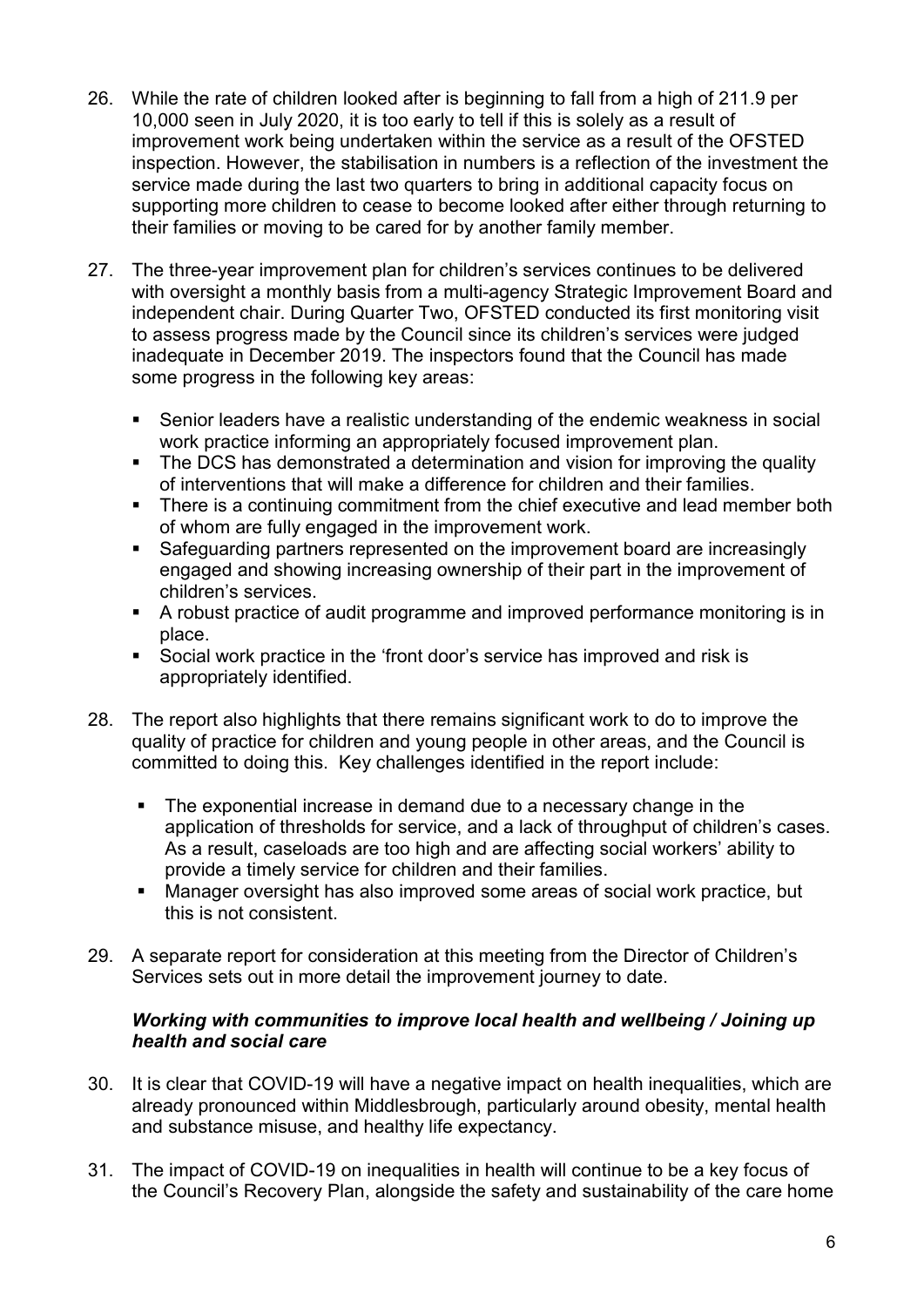- 26. While the rate of children looked after is beginning to fall from a high of 211.9 per 10,000 seen in July 2020, it is too early to tell if this is solely as a result of improvement work being undertaken within the service as a result of the OFSTED inspection. However, the stabilisation in numbers is a reflection of the investment the service made during the last two quarters to bring in additional capacity focus on supporting more children to cease to become looked after either through returning to their families or moving to be cared for by another family member.
- 27. The three-year improvement plan for children's services continues to be delivered with oversight a monthly basis from a multi-agency Strategic Improvement Board and independent chair. During Quarter Two, OFSTED conducted its first monitoring visit to assess progress made by the Council since its children's services were judged inadequate in December 2019. The inspectors found that the Council has made some progress in the following key areas:
	- Senior leaders have a realistic understanding of the endemic weakness in social work practice informing an appropriately focused improvement plan.
	- The DCS has demonstrated a determination and vision for improving the quality of interventions that will make a difference for children and their families.
	- **There is a continuing commitment from the chief executive and lead member both** of whom are fully engaged in the improvement work.
	- Safeguarding partners represented on the improvement board are increasingly engaged and showing increasing ownership of their part in the improvement of children's services.
	- A robust practice of audit programme and improved performance monitoring is in place.
	- Social work practice in the 'front door's service has improved and risk is appropriately identified.
- 28. The report also highlights that there remains significant work to do to improve the quality of practice for children and young people in other areas, and the Council is committed to doing this. Key challenges identified in the report include:
	- The exponential increase in demand due to a necessary change in the application of thresholds for service, and a lack of throughput of children's cases. As a result, caseloads are too high and are affecting social workers' ability to provide a timely service for children and their families.
	- Manager oversight has also improved some areas of social work practice, but this is not consistent.
- 29. A separate report for consideration at this meeting from the Director of Children's Services sets out in more detail the improvement journey to date.

# Working with communities to improve local health and wellbeing / Joining up health and social care

- 30. It is clear that COVID-19 will have a negative impact on health inequalities, which are already pronounced within Middlesbrough, particularly around obesity, mental health and substance misuse, and healthy life expectancy.
- 31. The impact of COVID-19 on inequalities in health will continue to be a key focus of the Council's Recovery Plan, alongside the safety and sustainability of the care home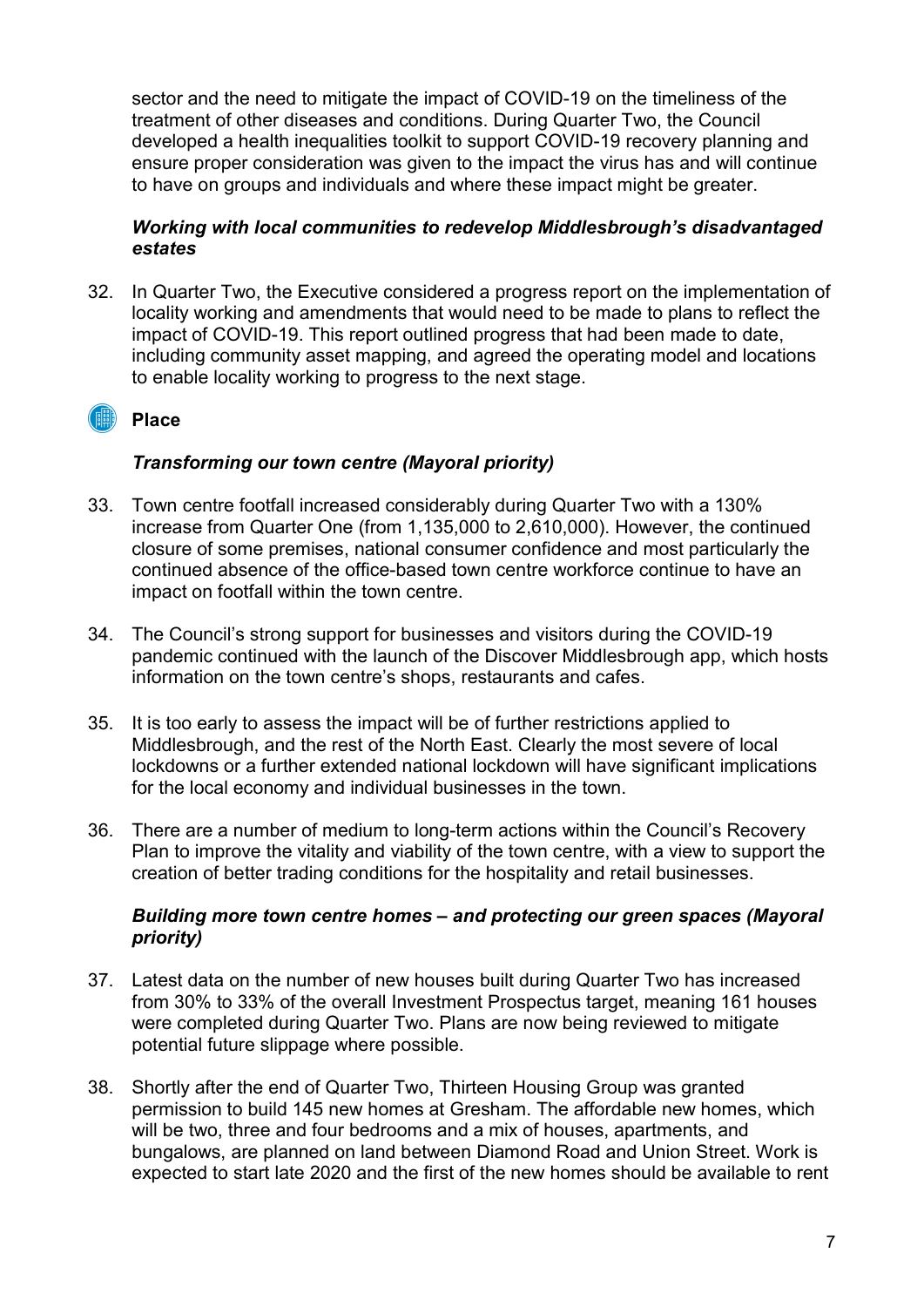sector and the need to mitigate the impact of COVID-19 on the timeliness of the treatment of other diseases and conditions. During Quarter Two, the Council developed a health inequalities toolkit to support COVID-19 recovery planning and ensure proper consideration was given to the impact the virus has and will continue to have on groups and individuals and where these impact might be greater.

#### Working with local communities to redevelop Middlesbrough's disadvantaged estates

32. In Quarter Two, the Executive considered a progress report on the implementation of locality working and amendments that would need to be made to plans to reflect the impact of COVID-19. This report outlined progress that had been made to date, including community asset mapping, and agreed the operating model and locations to enable locality working to progress to the next stage.

# **I Place**

#### Transforming our town centre (Mayoral priority)

- 33. Town centre footfall increased considerably during Quarter Two with a 130% increase from Quarter One (from 1,135,000 to 2,610,000). However, the continued closure of some premises, national consumer confidence and most particularly the continued absence of the office-based town centre workforce continue to have an impact on footfall within the town centre.
- 34. The Council's strong support for businesses and visitors during the COVID-19 pandemic continued with the launch of the Discover Middlesbrough app, which hosts information on the town centre's shops, restaurants and cafes.
- 35. It is too early to assess the impact will be of further restrictions applied to Middlesbrough, and the rest of the North East. Clearly the most severe of local lockdowns or a further extended national lockdown will have significant implications for the local economy and individual businesses in the town.
- 36. There are a number of medium to long-term actions within the Council's Recovery Plan to improve the vitality and viability of the town centre, with a view to support the creation of better trading conditions for the hospitality and retail businesses.

#### Building more town centre homes – and protecting our green spaces (Mayoral priority)

- 37. Latest data on the number of new houses built during Quarter Two has increased from 30% to 33% of the overall Investment Prospectus target, meaning 161 houses were completed during Quarter Two. Plans are now being reviewed to mitigate potential future slippage where possible.
- 38. Shortly after the end of Quarter Two, Thirteen Housing Group was granted permission to build 145 new homes at Gresham. The affordable new homes, which will be two, three and four bedrooms and a mix of houses, apartments, and bungalows, are planned on land between Diamond Road and Union Street. Work is expected to start late 2020 and the first of the new homes should be available to rent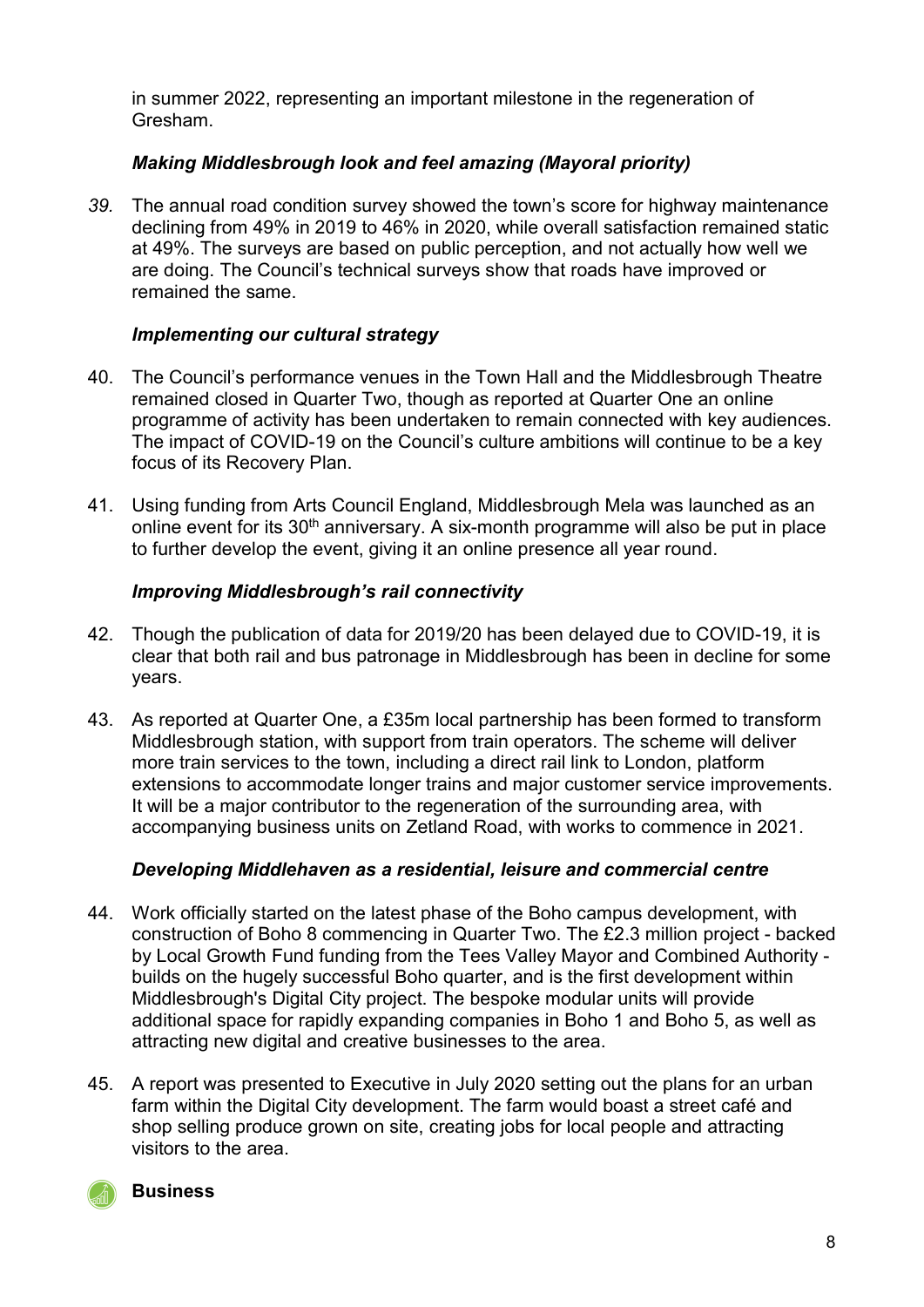in summer 2022, representing an important milestone in the regeneration of Gresham.

# Making Middlesbrough look and feel amazing (Mayoral priority)

39. The annual road condition survey showed the town's score for highway maintenance declining from 49% in 2019 to 46% in 2020, while overall satisfaction remained static at 49%. The surveys are based on public perception, and not actually how well we are doing. The Council's technical surveys show that roads have improved or remained the same.

# Implementing our cultural strategy

- 40. The Council's performance venues in the Town Hall and the Middlesbrough Theatre remained closed in Quarter Two, though as reported at Quarter One an online programme of activity has been undertaken to remain connected with key audiences. The impact of COVID-19 on the Council's culture ambitions will continue to be a key focus of its Recovery Plan.
- 41. Using funding from Arts Council England, Middlesbrough Mela was launched as an online event for its  $30<sup>th</sup>$  anniversary. A six-month programme will also be put in place to further develop the event, giving it an online presence all year round.

# Improving Middlesbrough's rail connectivity

- 42. Though the publication of data for 2019/20 has been delayed due to COVID-19, it is clear that both rail and bus patronage in Middlesbrough has been in decline for some years.
- 43. As reported at Quarter One, a £35m local partnership has been formed to transform Middlesbrough station, with support from train operators. The scheme will deliver more train services to the town, including a direct rail link to London, platform extensions to accommodate longer trains and major customer service improvements. It will be a major contributor to the regeneration of the surrounding area, with accompanying business units on Zetland Road, with works to commence in 2021.

# Developing Middlehaven as a residential, leisure and commercial centre

- 44. Work officially started on the latest phase of the Boho campus development, with construction of Boho 8 commencing in Quarter Two. The £2.3 million project - backed by Local Growth Fund funding from the Tees Valley Mayor and Combined Authority builds on the hugely successful Boho quarter, and is the first development within Middlesbrough's Digital City project. The bespoke modular units will provide additional space for rapidly expanding companies in Boho 1 and Boho 5, as well as attracting new digital and creative businesses to the area.
- 45. A report was presented to Executive in July 2020 setting out the plans for an urban farm within the Digital City development. The farm would boast a street café and shop selling produce grown on site, creating jobs for local people and attracting visitors to the area.



**Business**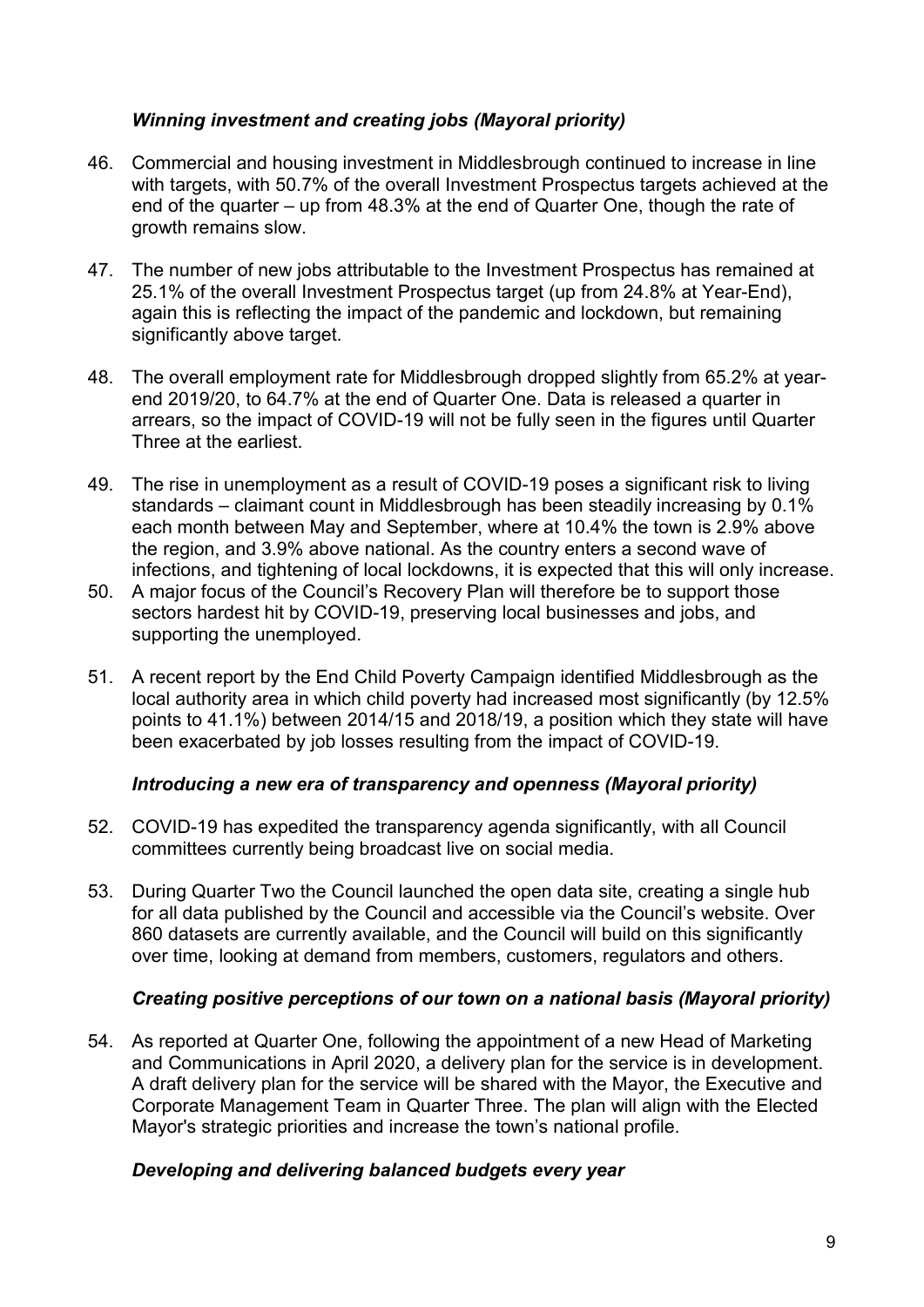# Winning investment and creating jobs (Mayoral priority)

- 46. Commercial and housing investment in Middlesbrough continued to increase in line with targets, with 50.7% of the overall Investment Prospectus targets achieved at the end of the quarter – up from 48.3% at the end of Quarter One, though the rate of growth remains slow.
- 47. The number of new jobs attributable to the Investment Prospectus has remained at 25.1% of the overall Investment Prospectus target (up from 24.8% at Year-End), again this is reflecting the impact of the pandemic and lockdown, but remaining significantly above target.
- 48. The overall employment rate for Middlesbrough dropped slightly from 65.2% at yearend 2019/20, to 64.7% at the end of Quarter One. Data is released a quarter in arrears, so the impact of COVID-19 will not be fully seen in the figures until Quarter Three at the earliest.
- 49. The rise in unemployment as a result of COVID-19 poses a significant risk to living standards – claimant count in Middlesbrough has been steadily increasing by 0.1% each month between May and September, where at 10.4% the town is 2.9% above the region, and 3.9% above national. As the country enters a second wave of infections, and tightening of local lockdowns, it is expected that this will only increase.
- 50. A major focus of the Council's Recovery Plan will therefore be to support those sectors hardest hit by COVID-19, preserving local businesses and jobs, and supporting the unemployed.
- 51. A recent report by the End Child Poverty Campaign identified Middlesbrough as the local authority area in which child poverty had increased most significantly (by 12.5% points to 41.1%) between 2014/15 and 2018/19, a position which they state will have been exacerbated by job losses resulting from the impact of COVID-19.

# Introducing a new era of transparency and openness (Mayoral priority)

- 52. COVID-19 has expedited the transparency agenda significantly, with all Council committees currently being broadcast live on social media.
- 53. During Quarter Two the Council launched the open data site, creating a single hub for all data published by the Council and accessible via the Council's website. Over 860 datasets are currently available, and the Council will build on this significantly over time, looking at demand from members, customers, regulators and others.

# Creating positive perceptions of our town on a national basis (Mayoral priority)

54. As reported at Quarter One, following the appointment of a new Head of Marketing and Communications in April 2020, a delivery plan for the service is in development. A draft delivery plan for the service will be shared with the Mayor, the Executive and Corporate Management Team in Quarter Three. The plan will align with the Elected Mayor's strategic priorities and increase the town's national profile.

# Developing and delivering balanced budgets every year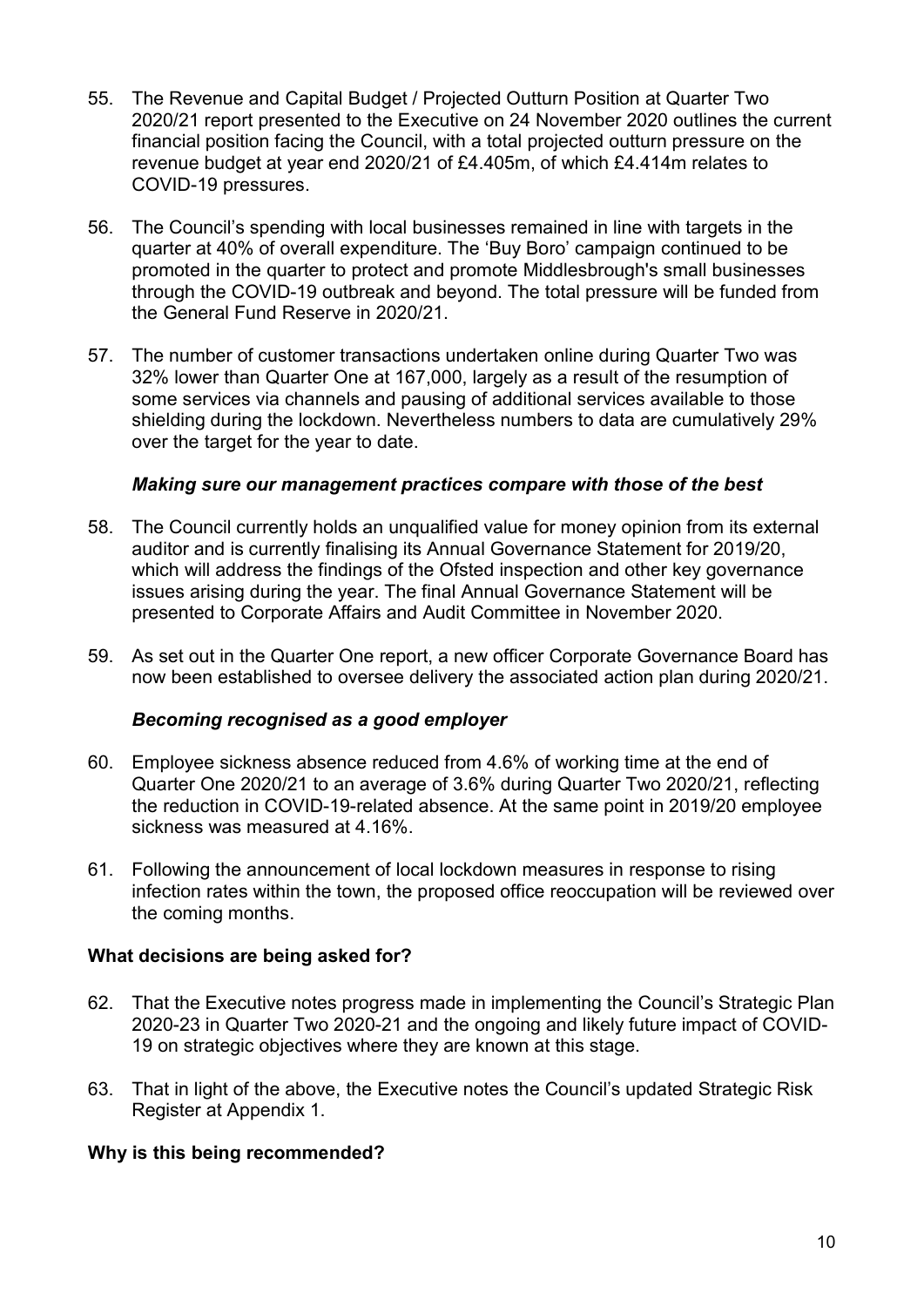- 55. The Revenue and Capital Budget / Projected Outturn Position at Quarter Two 2020/21 report presented to the Executive on 24 November 2020 outlines the current financial position facing the Council, with a total projected outturn pressure on the revenue budget at year end 2020/21 of £4.405m, of which £4.414m relates to COVID-19 pressures.
- 56. The Council's spending with local businesses remained in line with targets in the quarter at 40% of overall expenditure. The 'Buy Boro' campaign continued to be promoted in the quarter to protect and promote Middlesbrough's small businesses through the COVID-19 outbreak and beyond. The total pressure will be funded from the General Fund Reserve in 2020/21.
- 57. The number of customer transactions undertaken online during Quarter Two was 32% lower than Quarter One at 167,000, largely as a result of the resumption of some services via channels and pausing of additional services available to those shielding during the lockdown. Nevertheless numbers to data are cumulatively 29% over the target for the year to date.

#### Making sure our management practices compare with those of the best

- 58. The Council currently holds an unqualified value for money opinion from its external auditor and is currently finalising its Annual Governance Statement for 2019/20, which will address the findings of the Ofsted inspection and other key governance issues arising during the year. The final Annual Governance Statement will be presented to Corporate Affairs and Audit Committee in November 2020.
- 59. As set out in the Quarter One report, a new officer Corporate Governance Board has now been established to oversee delivery the associated action plan during 2020/21.

#### Becoming recognised as a good employer

- 60. Employee sickness absence reduced from 4.6% of working time at the end of Quarter One 2020/21 to an average of 3.6% during Quarter Two 2020/21, reflecting the reduction in COVID-19-related absence. At the same point in 2019/20 employee sickness was measured at 4.16%.
- 61. Following the announcement of local lockdown measures in response to rising infection rates within the town, the proposed office reoccupation will be reviewed over the coming months.

#### What decisions are being asked for?

- 62. That the Executive notes progress made in implementing the Council's Strategic Plan 2020-23 in Quarter Two 2020-21 and the ongoing and likely future impact of COVID-19 on strategic objectives where they are known at this stage.
- 63. That in light of the above, the Executive notes the Council's updated Strategic Risk Register at Appendix 1.

#### Why is this being recommended?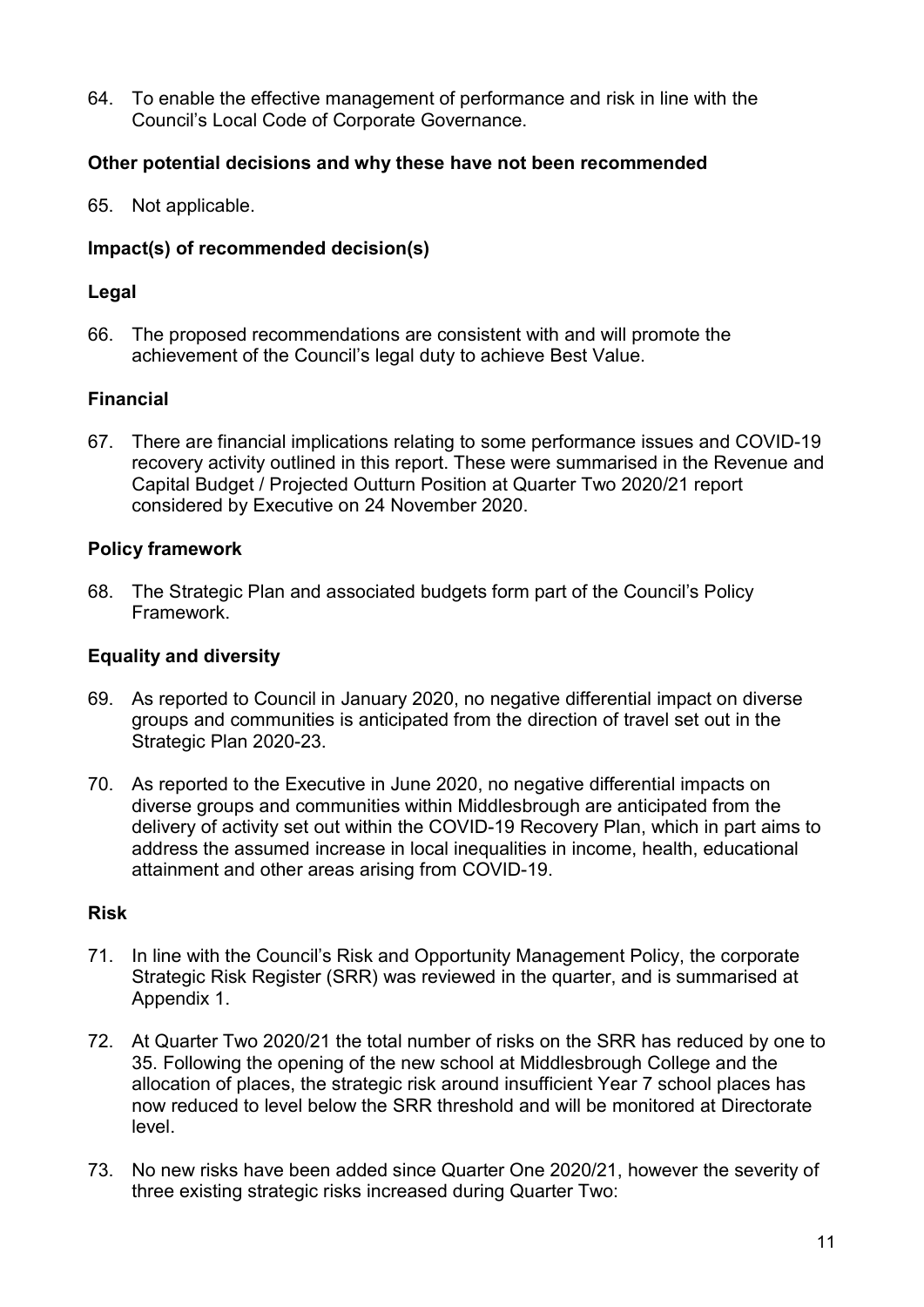64. To enable the effective management of performance and risk in line with the Council's Local Code of Corporate Governance.

#### Other potential decisions and why these have not been recommended

65. Not applicable.

#### Impact(s) of recommended decision(s)

#### Legal

66. The proposed recommendations are consistent with and will promote the achievement of the Council's legal duty to achieve Best Value.

#### Financial

67. There are financial implications relating to some performance issues and COVID-19 recovery activity outlined in this report. These were summarised in the Revenue and Capital Budget / Projected Outturn Position at Quarter Two 2020/21 report considered by Executive on 24 November 2020.

#### Policy framework

68. The Strategic Plan and associated budgets form part of the Council's Policy Framework.

#### Equality and diversity

- 69. As reported to Council in January 2020, no negative differential impact on diverse groups and communities is anticipated from the direction of travel set out in the Strategic Plan 2020-23.
- 70. As reported to the Executive in June 2020, no negative differential impacts on diverse groups and communities within Middlesbrough are anticipated from the delivery of activity set out within the COVID-19 Recovery Plan, which in part aims to address the assumed increase in local inequalities in income, health, educational attainment and other areas arising from COVID-19.

#### Risk

- 71. In line with the Council's Risk and Opportunity Management Policy, the corporate Strategic Risk Register (SRR) was reviewed in the quarter, and is summarised at Appendix 1.
- 72. At Quarter Two 2020/21 the total number of risks on the SRR has reduced by one to 35. Following the opening of the new school at Middlesbrough College and the allocation of places, the strategic risk around insufficient Year 7 school places has now reduced to level below the SRR threshold and will be monitored at Directorate level.
- 73. No new risks have been added since Quarter One 2020/21, however the severity of three existing strategic risks increased during Quarter Two: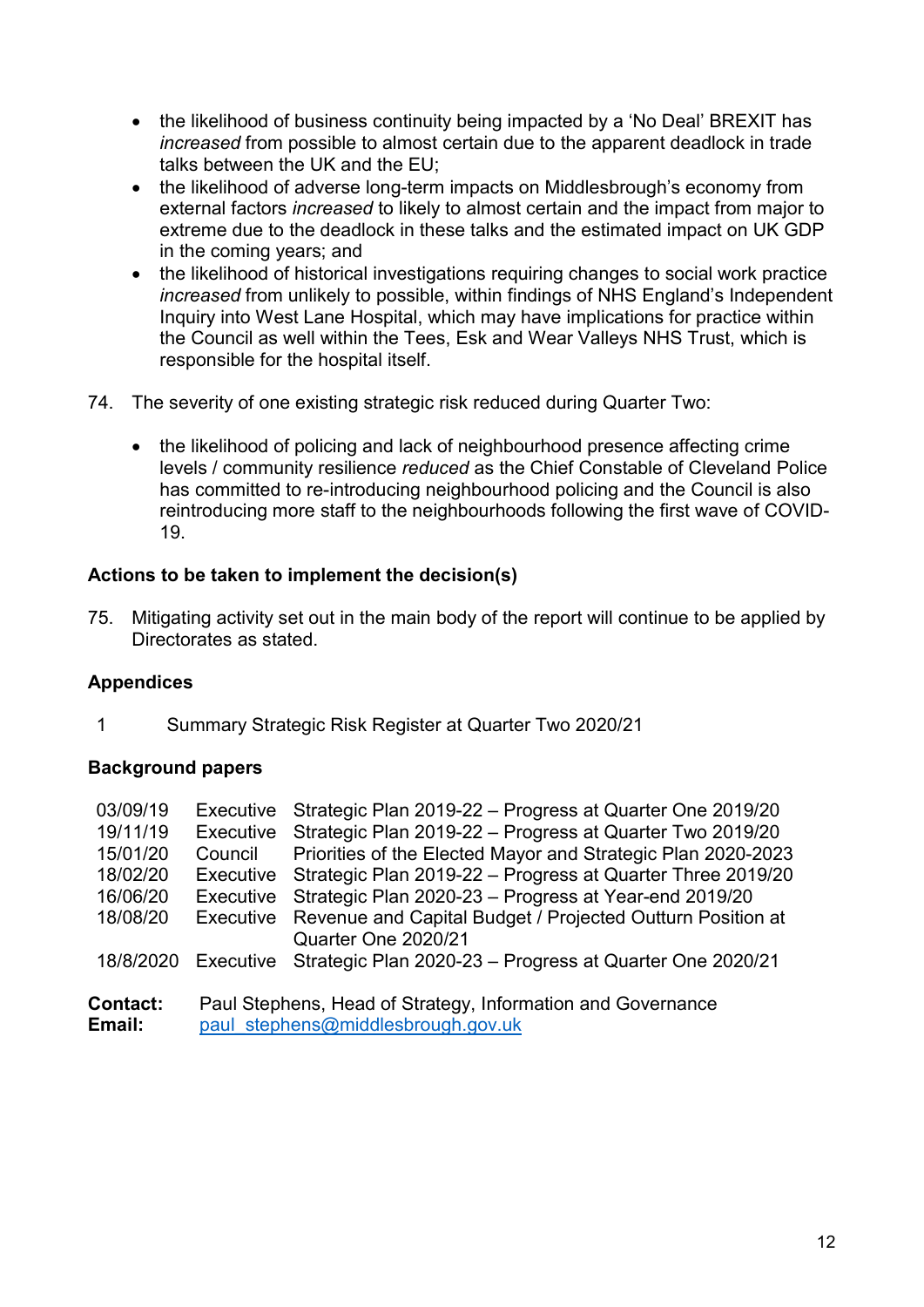- the likelihood of business continuity being impacted by a 'No Deal' BREXIT has increased from possible to almost certain due to the apparent deadlock in trade talks between the UK and the EU;
- the likelihood of adverse long-term impacts on Middlesbrough's economy from external factors increased to likely to almost certain and the impact from major to extreme due to the deadlock in these talks and the estimated impact on UK GDP in the coming years; and
- the likelihood of historical investigations requiring changes to social work practice increased from unlikely to possible, within findings of NHS England's Independent Inquiry into West Lane Hospital, which may have implications for practice within the Council as well within the Tees, Esk and Wear Valleys NHS Trust, which is responsible for the hospital itself.
- 74. The severity of one existing strategic risk reduced during Quarter Two:
	- the likelihood of policing and lack of neighbourhood presence affecting crime levels / community resilience reduced as the Chief Constable of Cleveland Police has committed to re-introducing neighbourhood policing and the Council is also reintroducing more staff to the neighbourhoods following the first wave of COVID-19.

# Actions to be taken to implement the decision(s)

75. Mitigating activity set out in the main body of the report will continue to be applied by Directorates as stated.

# Appendices

1 Summary Strategic Risk Register at Quarter Two 2020/21

# Background papers

| 03/09/19        | Executive        | Strategic Plan 2019-22 - Progress at Quarter One 2019/20     |  |  |  |  |
|-----------------|------------------|--------------------------------------------------------------|--|--|--|--|
| 19/11/19        | <b>Executive</b> | Strategic Plan 2019-22 - Progress at Quarter Two 2019/20     |  |  |  |  |
| 15/01/20        | Council          | Priorities of the Elected Mayor and Strategic Plan 2020-2023 |  |  |  |  |
| 18/02/20        | Executive        | Strategic Plan 2019-22 - Progress at Quarter Three 2019/20   |  |  |  |  |
| 16/06/20        | Executive        | Strategic Plan 2020-23 - Progress at Year-end 2019/20        |  |  |  |  |
| 18/08/20        | <b>Executive</b> | Revenue and Capital Budget / Projected Outturn Position at   |  |  |  |  |
|                 |                  | Quarter One 2020/21                                          |  |  |  |  |
| 18/8/2020       | Executive        | Strategic Plan 2020-23 - Progress at Quarter One 2020/21     |  |  |  |  |
|                 |                  |                                                              |  |  |  |  |
| <b>Contact:</b> |                  | Paul Stephens, Head of Strategy, Information and Governance  |  |  |  |  |
| Email:          |                  | paul stephens@middlesbrough.gov.uk                           |  |  |  |  |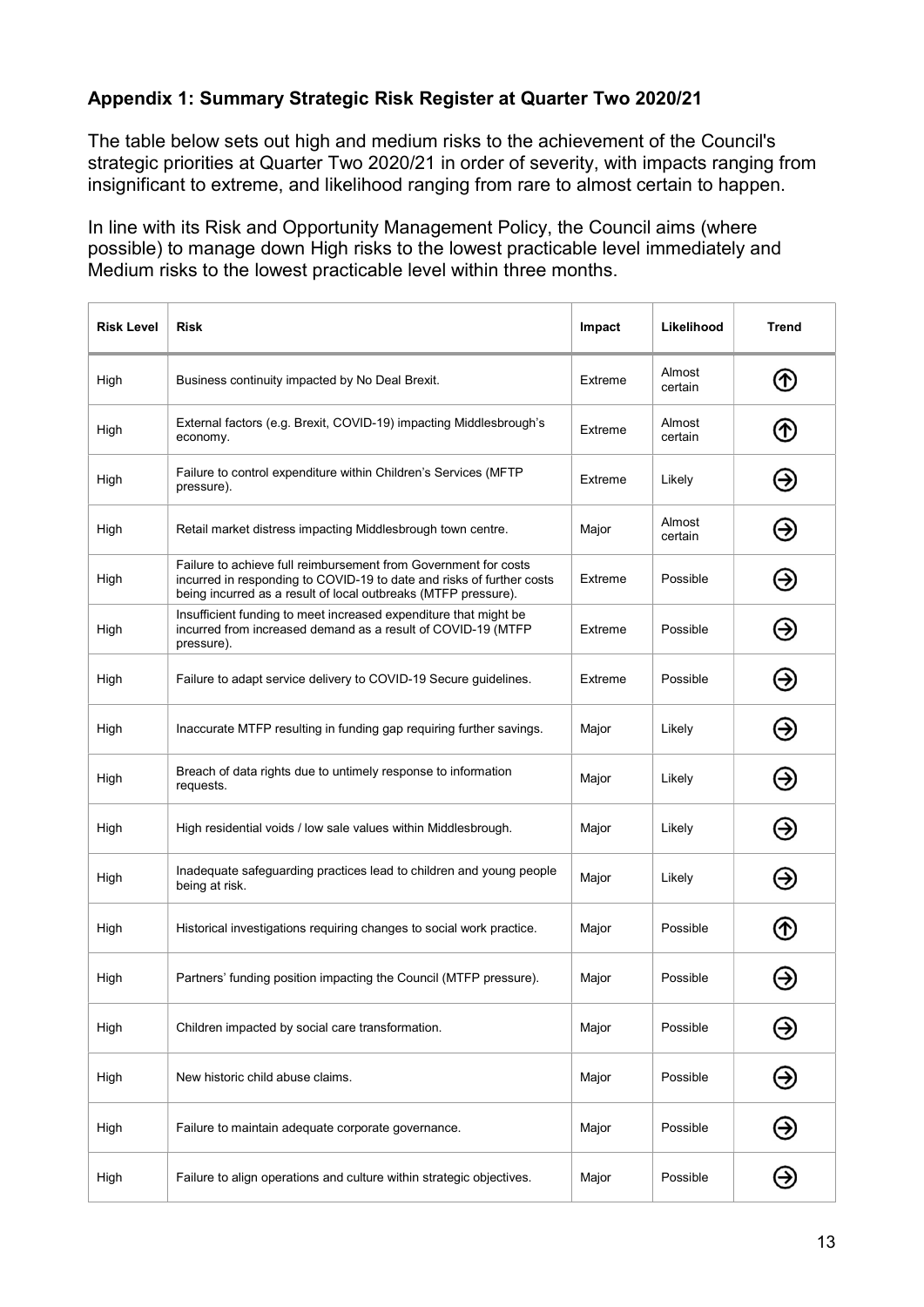# Appendix 1: Summary Strategic Risk Register at Quarter Two 2020/21

The table below sets out high and medium risks to the achievement of the Council's strategic priorities at Quarter Two 2020/21 in order of severity, with impacts ranging from insignificant to extreme, and likelihood ranging from rare to almost certain to happen.

In line with its Risk and Opportunity Management Policy, the Council aims (where possible) to manage down High risks to the lowest practicable level immediately and Medium risks to the lowest practicable level within three months.

| <b>Risk Level</b> | <b>Risk</b>                                                                                                                                                                                                | Impact  | Likelihood        | <b>Trend</b>  |
|-------------------|------------------------------------------------------------------------------------------------------------------------------------------------------------------------------------------------------------|---------|-------------------|---------------|
| High              | Business continuity impacted by No Deal Brexit.                                                                                                                                                            | Extreme | Almost<br>certain | ➀             |
| High              | External factors (e.g. Brexit, COVID-19) impacting Middlesbrough's<br>economy.                                                                                                                             | Extreme | Almost<br>certain | ➀             |
| High              | Failure to control expenditure within Children's Services (MFTP<br>pressure).                                                                                                                              | Extreme | Likely            | Э             |
| High              | Retail market distress impacting Middlesbrough town centre.                                                                                                                                                | Major   | Almost<br>certain | ⊛             |
| High              | Failure to achieve full reimbursement from Government for costs<br>incurred in responding to COVID-19 to date and risks of further costs<br>being incurred as a result of local outbreaks (MTFP pressure). | Extreme | Possible          | ☺             |
| High              | Insufficient funding to meet increased expenditure that might be<br>incurred from increased demand as a result of COVID-19 (MTFP<br>pressure).                                                             | Extreme | Possible          | Э             |
| High              | Failure to adapt service delivery to COVID-19 Secure guidelines.                                                                                                                                           | Extreme | Possible          | ⊛             |
| High              | Inaccurate MTFP resulting in funding gap requiring further savings.                                                                                                                                        | Major   | Likely            | ❸             |
| High              | Breach of data rights due to untimely response to information<br>requests.                                                                                                                                 | Major   | Likely            | ⊖             |
| High              | High residential voids / low sale values within Middlesbrough.                                                                                                                                             | Major   | Likely            | Θ             |
| High              | Inadequate safeguarding practices lead to children and young people<br>being at risk.                                                                                                                      | Major   | Likely            | ⊛             |
| High              | Historical investigations requiring changes to social work practice.                                                                                                                                       | Major   | Possible          | ᠿ             |
| High              | Partners' funding position impacting the Council (MTFP pressure).                                                                                                                                          | Major   | Possible          |               |
| High              | Children impacted by social care transformation.                                                                                                                                                           | Major   | Possible          | Э             |
| High              | New historic child abuse claims.                                                                                                                                                                           | Major   | Possible          | $\bm{\Theta}$ |
| High              | Failure to maintain adequate corporate governance.                                                                                                                                                         | Major   | Possible          | $\Theta$      |
| High              | Failure to align operations and culture within strategic objectives.                                                                                                                                       | Major   | Possible          | Э             |